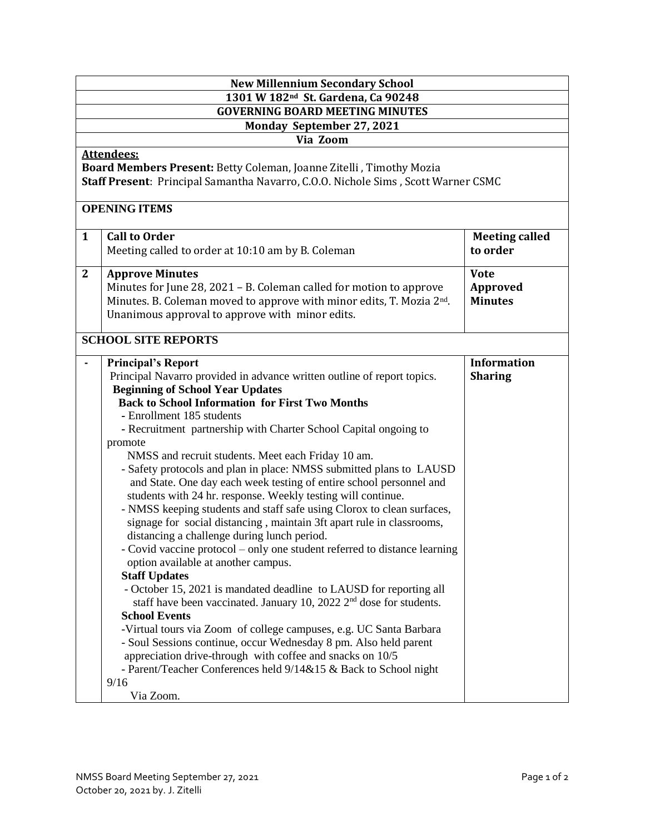| <b>New Millennium Secondary School</b>         |                                                                                                                                                 |                       |  |  |  |
|------------------------------------------------|-------------------------------------------------------------------------------------------------------------------------------------------------|-----------------------|--|--|--|
| 1301 W 182 <sup>nd</sup> St. Gardena, Ca 90248 |                                                                                                                                                 |                       |  |  |  |
| <b>GOVERNING BOARD MEETING MINUTES</b>         |                                                                                                                                                 |                       |  |  |  |
| Monday September 27, 2021<br>Via Zoom          |                                                                                                                                                 |                       |  |  |  |
| <b>Attendees:</b>                              |                                                                                                                                                 |                       |  |  |  |
|                                                | Board Members Present: Betty Coleman, Joanne Zitelli, Timothy Mozia                                                                             |                       |  |  |  |
|                                                | Staff Present: Principal Samantha Navarro, C.O.O. Nichole Sims, Scott Warner CSMC                                                               |                       |  |  |  |
|                                                |                                                                                                                                                 |                       |  |  |  |
| <b>OPENING ITEMS</b>                           |                                                                                                                                                 |                       |  |  |  |
| $\mathbf{1}$                                   | <b>Call to Order</b>                                                                                                                            | <b>Meeting called</b> |  |  |  |
|                                                | Meeting called to order at 10:10 am by B. Coleman                                                                                               | to order              |  |  |  |
| $\mathbf{2}$                                   | <b>Approve Minutes</b>                                                                                                                          | <b>Vote</b>           |  |  |  |
|                                                | Minutes for June 28, 2021 - B. Coleman called for motion to approve                                                                             | <b>Approved</b>       |  |  |  |
|                                                | Minutes. B. Coleman moved to approve with minor edits, T. Mozia 2 <sup>nd</sup> .                                                               | <b>Minutes</b>        |  |  |  |
|                                                | Unanimous approval to approve with minor edits.                                                                                                 |                       |  |  |  |
| <b>SCHOOL SITE REPORTS</b>                     |                                                                                                                                                 |                       |  |  |  |
|                                                | <b>Principal's Report</b>                                                                                                                       | <b>Information</b>    |  |  |  |
|                                                | Principal Navarro provided in advance written outline of report topics.                                                                         | <b>Sharing</b>        |  |  |  |
|                                                | <b>Beginning of School Year Updates</b><br><b>Back to School Information for First Two Months</b>                                               |                       |  |  |  |
|                                                | - Enrollment 185 students                                                                                                                       |                       |  |  |  |
|                                                | - Recruitment partnership with Charter School Capital ongoing to                                                                                |                       |  |  |  |
|                                                | promote                                                                                                                                         |                       |  |  |  |
|                                                | NMSS and recruit students. Meet each Friday 10 am.                                                                                              |                       |  |  |  |
|                                                | - Safety protocols and plan in place: NMSS submitted plans to LAUSD                                                                             |                       |  |  |  |
|                                                | and State. One day each week testing of entire school personnel and                                                                             |                       |  |  |  |
|                                                | students with 24 hr. response. Weekly testing will continue.                                                                                    |                       |  |  |  |
|                                                | - NMSS keeping students and staff safe using Clorox to clean surfaces,<br>signage for social distancing, maintain 3ft apart rule in classrooms, |                       |  |  |  |
|                                                | distancing a challenge during lunch period.                                                                                                     |                       |  |  |  |
|                                                | - Covid vaccine protocol – only one student referred to distance learning                                                                       |                       |  |  |  |
|                                                | option available at another campus.                                                                                                             |                       |  |  |  |
|                                                | <b>Staff Updates</b>                                                                                                                            |                       |  |  |  |
|                                                | - October 15, 2021 is mandated deadline to LAUSD for reporting all                                                                              |                       |  |  |  |
|                                                | staff have been vaccinated. January 10, 2022 $2nd$ dose for students.<br><b>School Events</b>                                                   |                       |  |  |  |
|                                                | -Virtual tours via Zoom of college campuses, e.g. UC Santa Barbara                                                                              |                       |  |  |  |
|                                                | - Soul Sessions continue, occur Wednesday 8 pm. Also held parent                                                                                |                       |  |  |  |
|                                                | appreciation drive-through with coffee and snacks on 10/5                                                                                       |                       |  |  |  |
|                                                | - Parent/Teacher Conferences held 9/14&15 & Back to School night                                                                                |                       |  |  |  |
|                                                | 9/16                                                                                                                                            |                       |  |  |  |
|                                                | Via Zoom.                                                                                                                                       |                       |  |  |  |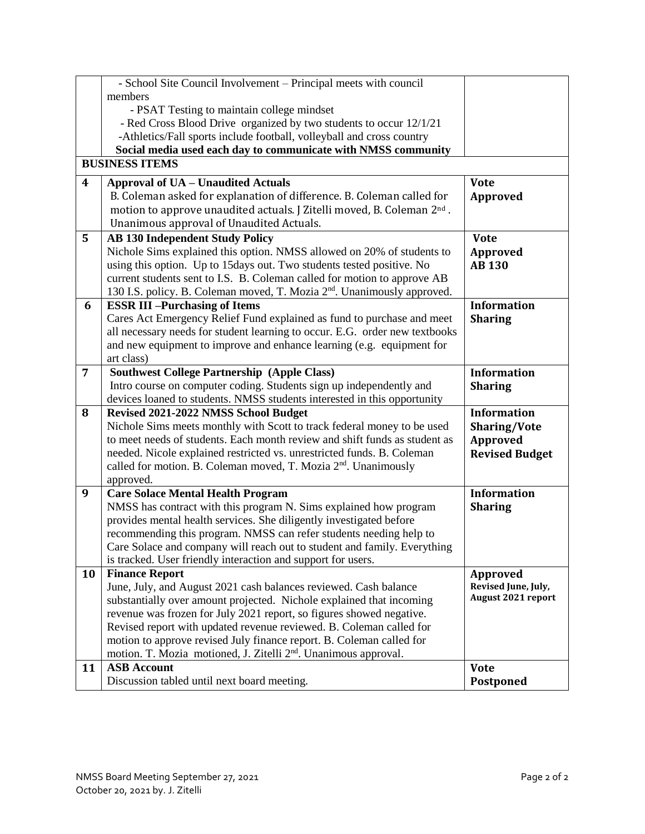|                         | - School Site Council Involvement - Principal meets with council                                                          |                       |  |  |
|-------------------------|---------------------------------------------------------------------------------------------------------------------------|-----------------------|--|--|
|                         | members                                                                                                                   |                       |  |  |
|                         | - PSAT Testing to maintain college mindset                                                                                |                       |  |  |
|                         | - Red Cross Blood Drive organized by two students to occur 12/1/21                                                        |                       |  |  |
|                         | -Athletics/Fall sports include football, volleyball and cross country                                                     |                       |  |  |
|                         | Social media used each day to communicate with NMSS community                                                             |                       |  |  |
|                         | <b>BUSINESS ITEMS</b>                                                                                                     |                       |  |  |
| $\overline{\mathbf{4}}$ | <b>Approval of UA - Unaudited Actuals</b>                                                                                 | <b>Vote</b>           |  |  |
|                         | B. Coleman asked for explanation of difference. B. Coleman called for                                                     | <b>Approved</b>       |  |  |
|                         | motion to approve unaudited actuals. J Zitelli moved, B. Coleman 2 <sup>nd</sup> .                                        |                       |  |  |
|                         | Unanimous approval of Unaudited Actuals.                                                                                  |                       |  |  |
| 5                       | <b>AB 130 Independent Study Policy</b>                                                                                    | <b>Vote</b>           |  |  |
|                         | Nichole Sims explained this option. NMSS allowed on 20% of students to                                                    | <b>Approved</b>       |  |  |
|                         | using this option. Up to 15days out. Two students tested positive. No                                                     | <b>AB 130</b>         |  |  |
|                         | current students sent to I.S. B. Coleman called for motion to approve AB                                                  |                       |  |  |
|                         | 130 I.S. policy. B. Coleman moved, T. Mozia 2 <sup>nd</sup> . Unanimously approved.                                       |                       |  |  |
| 6                       | <b>ESSR III-Purchasing of Items</b>                                                                                       | <b>Information</b>    |  |  |
|                         | Cares Act Emergency Relief Fund explained as fund to purchase and meet                                                    | <b>Sharing</b>        |  |  |
|                         | all necessary needs for student learning to occur. E.G. order new textbooks                                               |                       |  |  |
|                         | and new equipment to improve and enhance learning (e.g. equipment for                                                     |                       |  |  |
|                         | art class)                                                                                                                |                       |  |  |
| $\overline{7}$          | <b>Southwest College Partnership (Apple Class)</b><br>Intro course on computer coding. Students sign up independently and | <b>Information</b>    |  |  |
|                         | devices loaned to students. NMSS students interested in this opportunity                                                  | <b>Sharing</b>        |  |  |
| 8                       | Revised 2021-2022 NMSS School Budget                                                                                      | <b>Information</b>    |  |  |
|                         | Nichole Sims meets monthly with Scott to track federal money to be used                                                   | <b>Sharing/Vote</b>   |  |  |
|                         | to meet needs of students. Each month review and shift funds as student as                                                | Approved              |  |  |
|                         | needed. Nicole explained restricted vs. unrestricted funds. B. Coleman                                                    | <b>Revised Budget</b> |  |  |
|                         | called for motion. B. Coleman moved, T. Mozia 2 <sup>nd</sup> . Unanimously                                               |                       |  |  |
|                         | approved.                                                                                                                 |                       |  |  |
| 9                       | <b>Care Solace Mental Health Program</b>                                                                                  | <b>Information</b>    |  |  |
|                         | NMSS has contract with this program N. Sims explained how program                                                         | <b>Sharing</b>        |  |  |
|                         | provides mental health services. She diligently investigated before                                                       |                       |  |  |
|                         | recommending this program. NMSS can refer students needing help to                                                        |                       |  |  |
|                         | Care Solace and company will reach out to student and family. Everything                                                  |                       |  |  |
|                         | is tracked. User friendly interaction and support for users.                                                              |                       |  |  |
| 10                      | <b>Finance Report</b>                                                                                                     | Approved              |  |  |
|                         | June, July, and August 2021 cash balances reviewed. Cash balance                                                          | Revised June, July,   |  |  |
|                         | substantially over amount projected. Nichole explained that incoming                                                      | August 2021 report    |  |  |
|                         | revenue was frozen for July 2021 report, so figures showed negative.                                                      |                       |  |  |
|                         | Revised report with updated revenue reviewed. B. Coleman called for                                                       |                       |  |  |
|                         | motion to approve revised July finance report. B. Coleman called for                                                      |                       |  |  |
|                         | motion. T. Mozia motioned, J. Zitelli 2 <sup>nd</sup> . Unanimous approval.                                               |                       |  |  |
| 11                      | <b>ASB Account</b>                                                                                                        | <b>Vote</b>           |  |  |
|                         | Discussion tabled until next board meeting.                                                                               | Postponed             |  |  |